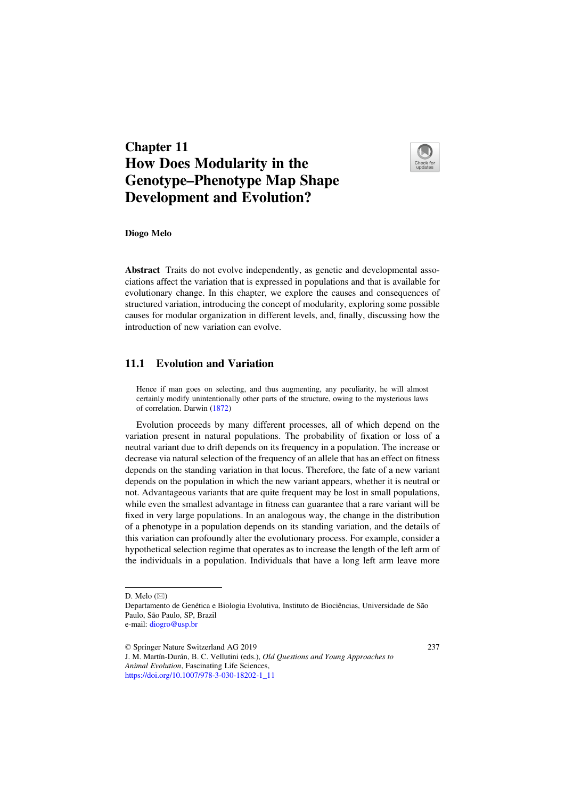# Chapter 11 How Does Modularity in the Genotype–Phenotype Map Shape Development and Evolution?



Diogo Melo

Abstract Traits do not evolve independently, as genetic and developmental associations affect the variation that is expressed in populations and that is available for evolutionary change. In this chapter, we explore the causes and consequences of structured variation, introducing the concept of modularity, exploring some possible causes for modular organization in different levels, and, finally, discussing how the introduction of new variation can evolve.

# 11.1 Evolution and Variation

Hence if man goes on selecting, and thus augmenting, any peculiarity, he will almost certainly modify unintentionally other parts of the structure, owing to the mysterious laws of correlation. Darwin (1872)

Evolution proceeds by many different processes, all of which depend on the variation present in natural populations. The probability of fixation or loss of a neutral variant due to drift depends on its frequency in a population. The increase or decrease via natural selection of the frequency of an allele that has an effect on fitness depends on the standing variation in that locus. Therefore, the fate of a new variant depends on the population in which the new variant appears, whether it is neutral or not. Advantageous variants that are quite frequent may be lost in small populations, while even the smallest advantage in fitness can guarantee that a rare variant will be fixed in very large populations. In an analogous way, the change in the distribution of a phenotype in a population depends on its standing variation, and the details of this variation can profoundly alter the evolutionary process. For example, consider a hypothetical selection regime that operates as to increase the length of the left arm of the individuals in a population. Individuals that have a long left arm leave more

© Springer Nature Switzerland AG 2019

D. Melo  $(\boxtimes)$ 

Departamento de Genética e Biologia Evolutiva, Instituto de Biociências, Universidade de São Paulo, São Paulo, SP, Brazil e-mail: diogro@usp.br

J. M. Martín-Durán, B. C. Vellutini (eds.), Old Questions and Young Approaches to Animal Evolution, Fascinating Life Sciences, https://doi.org/10.1007/978-3-030-18202-1\_11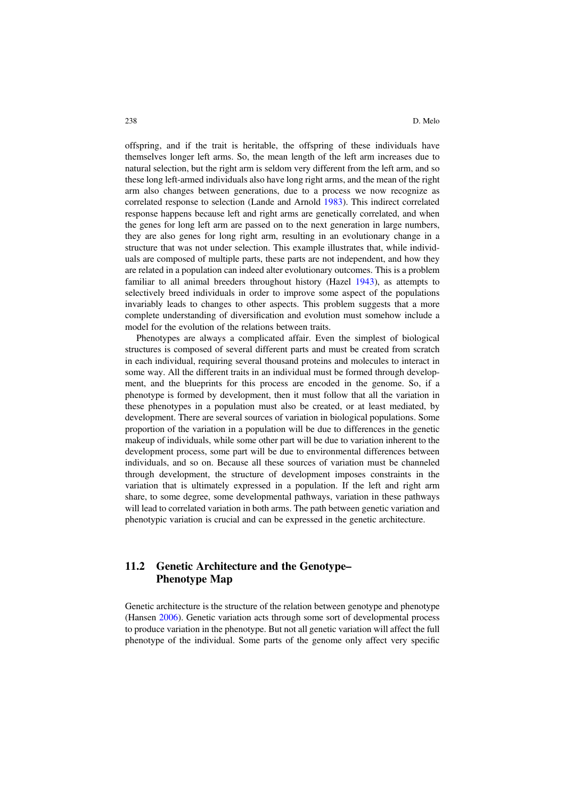238 D. Melo

offspring, and if the trait is heritable, the offspring of these individuals have themselves longer left arms. So, the mean length of the left arm increases due to natural selection, but the right arm is seldom very different from the left arm, and so these long left-armed individuals also have long right arms, and the mean of the right arm also changes between generations, due to a process we now recognize as correlated response to selection (Lande and Arnold 1983). This indirect correlated response happens because left and right arms are genetically correlated, and when the genes for long left arm are passed on to the next generation in large numbers, they are also genes for long right arm, resulting in an evolutionary change in a structure that was not under selection. This example illustrates that, while individuals are composed of multiple parts, these parts are not independent, and how they are related in a population can indeed alter evolutionary outcomes. This is a problem familiar to all animal breeders throughout history (Hazel 1943), as attempts to selectively breed individuals in order to improve some aspect of the populations invariably leads to changes to other aspects. This problem suggests that a more complete understanding of diversification and evolution must somehow include a model for the evolution of the relations between traits.

Phenotypes are always a complicated affair. Even the simplest of biological structures is composed of several different parts and must be created from scratch in each individual, requiring several thousand proteins and molecules to interact in some way. All the different traits in an individual must be formed through development, and the blueprints for this process are encoded in the genome. So, if a phenotype is formed by development, then it must follow that all the variation in these phenotypes in a population must also be created, or at least mediated, by development. There are several sources of variation in biological populations. Some proportion of the variation in a population will be due to differences in the genetic makeup of individuals, while some other part will be due to variation inherent to the development process, some part will be due to environmental differences between individuals, and so on. Because all these sources of variation must be channeled through development, the structure of development imposes constraints in the variation that is ultimately expressed in a population. If the left and right arm share, to some degree, some developmental pathways, variation in these pathways will lead to correlated variation in both arms. The path between genetic variation and phenotypic variation is crucial and can be expressed in the genetic architecture.

# 11.2 Genetic Architecture and the Genotype– Phenotype Map

Genetic architecture is the structure of the relation between genotype and phenotype (Hansen 2006). Genetic variation acts through some sort of developmental process to produce variation in the phenotype. But not all genetic variation will affect the full phenotype of the individual. Some parts of the genome only affect very specific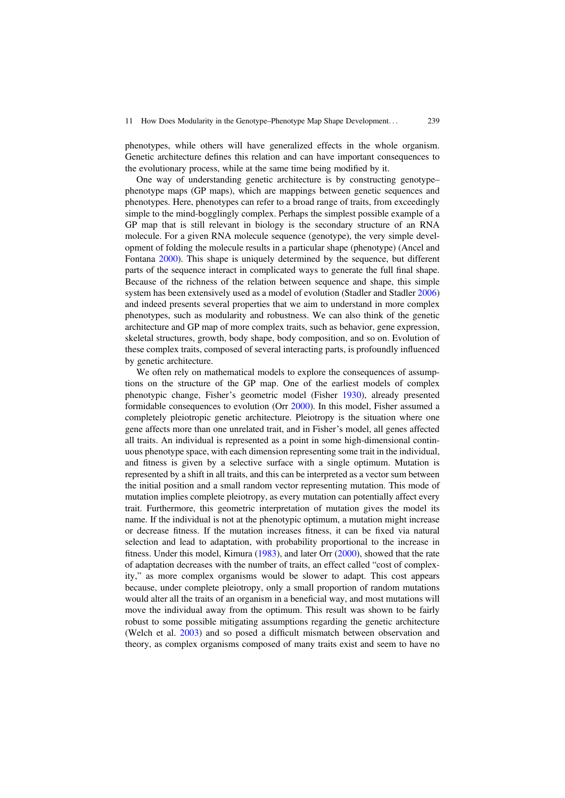phenotypes, while others will have generalized effects in the whole organism. Genetic architecture defines this relation and can have important consequences to the evolutionary process, while at the same time being modified by it.

One way of understanding genetic architecture is by constructing genotype– phenotype maps (GP maps), which are mappings between genetic sequences and phenotypes. Here, phenotypes can refer to a broad range of traits, from exceedingly simple to the mind-bogglingly complex. Perhaps the simplest possible example of a GP map that is still relevant in biology is the secondary structure of an RNA molecule. For a given RNA molecule sequence (genotype), the very simple development of folding the molecule results in a particular shape (phenotype) (Ancel and Fontana 2000). This shape is uniquely determined by the sequence, but different parts of the sequence interact in complicated ways to generate the full final shape. Because of the richness of the relation between sequence and shape, this simple system has been extensively used as a model of evolution (Stadler and Stadler 2006) and indeed presents several properties that we aim to understand in more complex phenotypes, such as modularity and robustness. We can also think of the genetic architecture and GP map of more complex traits, such as behavior, gene expression, skeletal structures, growth, body shape, body composition, and so on. Evolution of these complex traits, composed of several interacting parts, is profoundly influenced by genetic architecture.

We often rely on mathematical models to explore the consequences of assumptions on the structure of the GP map. One of the earliest models of complex phenotypic change, Fisher's geometric model (Fisher 1930), already presented formidable consequences to evolution (Orr 2000). In this model, Fisher assumed a completely pleiotropic genetic architecture. Pleiotropy is the situation where one gene affects more than one unrelated trait, and in Fisher's model, all genes affected all traits. An individual is represented as a point in some high-dimensional continuous phenotype space, with each dimension representing some trait in the individual, and fitness is given by a selective surface with a single optimum. Mutation is represented by a shift in all traits, and this can be interpreted as a vector sum between the initial position and a small random vector representing mutation. This mode of mutation implies complete pleiotropy, as every mutation can potentially affect every trait. Furthermore, this geometric interpretation of mutation gives the model its name. If the individual is not at the phenotypic optimum, a mutation might increase or decrease fitness. If the mutation increases fitness, it can be fixed via natural selection and lead to adaptation, with probability proportional to the increase in fitness. Under this model, Kimura (1983), and later Orr (2000), showed that the rate of adaptation decreases with the number of traits, an effect called "cost of complexity," as more complex organisms would be slower to adapt. This cost appears because, under complete pleiotropy, only a small proportion of random mutations would alter all the traits of an organism in a beneficial way, and most mutations will move the individual away from the optimum. This result was shown to be fairly robust to some possible mitigating assumptions regarding the genetic architecture (Welch et al. 2003) and so posed a difficult mismatch between observation and theory, as complex organisms composed of many traits exist and seem to have no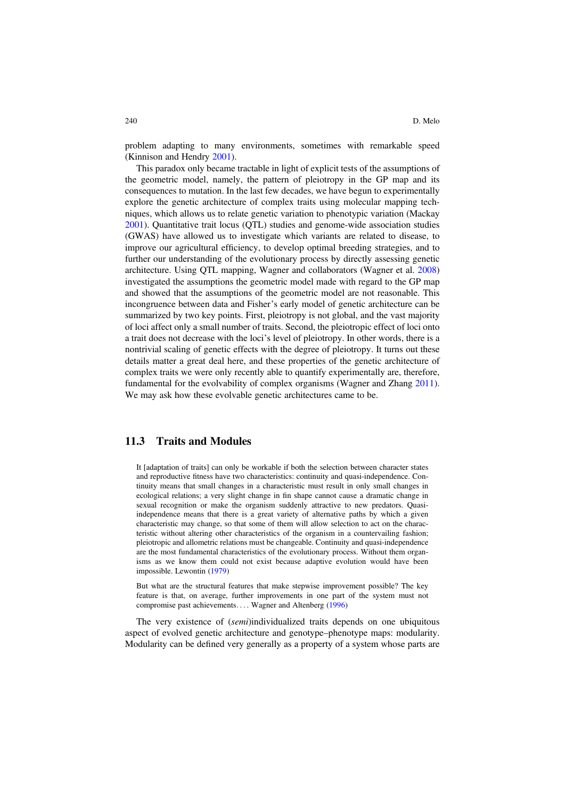problem adapting to many environments, sometimes with remarkable speed (Kinnison and Hendry 2001).

This paradox only became tractable in light of explicit tests of the assumptions of the geometric model, namely, the pattern of pleiotropy in the GP map and its consequences to mutation. In the last few decades, we have begun to experimentally explore the genetic architecture of complex traits using molecular mapping techniques, which allows us to relate genetic variation to phenotypic variation (Mackay 2001). Quantitative trait locus (QTL) studies and genome-wide association studies (GWAS) have allowed us to investigate which variants are related to disease, to improve our agricultural efficiency, to develop optimal breeding strategies, and to further our understanding of the evolutionary process by directly assessing genetic architecture. Using QTL mapping, Wagner and collaborators (Wagner et al. 2008) investigated the assumptions the geometric model made with regard to the GP map and showed that the assumptions of the geometric model are not reasonable. This incongruence between data and Fisher's early model of genetic architecture can be summarized by two key points. First, pleiotropy is not global, and the vast majority of loci affect only a small number of traits. Second, the pleiotropic effect of loci onto a trait does not decrease with the loci's level of pleiotropy. In other words, there is a nontrivial scaling of genetic effects with the degree of pleiotropy. It turns out these details matter a great deal here, and these properties of the genetic architecture of complex traits we were only recently able to quantify experimentally are, therefore, fundamental for the evolvability of complex organisms (Wagner and Zhang 2011). We may ask how these evolvable genetic architectures came to be.

### 11.3 Traits and Modules

It [adaptation of traits] can only be workable if both the selection between character states and reproductive fitness have two characteristics: continuity and quasi-independence. Continuity means that small changes in a characteristic must result in only small changes in ecological relations; a very slight change in fin shape cannot cause a dramatic change in sexual recognition or make the organism suddenly attractive to new predators. Quasiindependence means that there is a great variety of alternative paths by which a given characteristic may change, so that some of them will allow selection to act on the characteristic without altering other characteristics of the organism in a countervailing fashion; pleiotropic and allometric relations must be changeable. Continuity and quasi-independence are the most fundamental characteristics of the evolutionary process. Without them organisms as we know them could not exist because adaptive evolution would have been impossible. Lewontin (1979)

But what are the structural features that make stepwise improvement possible? The key feature is that, on average, further improvements in one part of the system must not compromise past achievements. . . . Wagner and Altenberg (1996)

The very existence of (semi)individualized traits depends on one ubiquitous aspect of evolved genetic architecture and genotype–phenotype maps: modularity. Modularity can be defined very generally as a property of a system whose parts are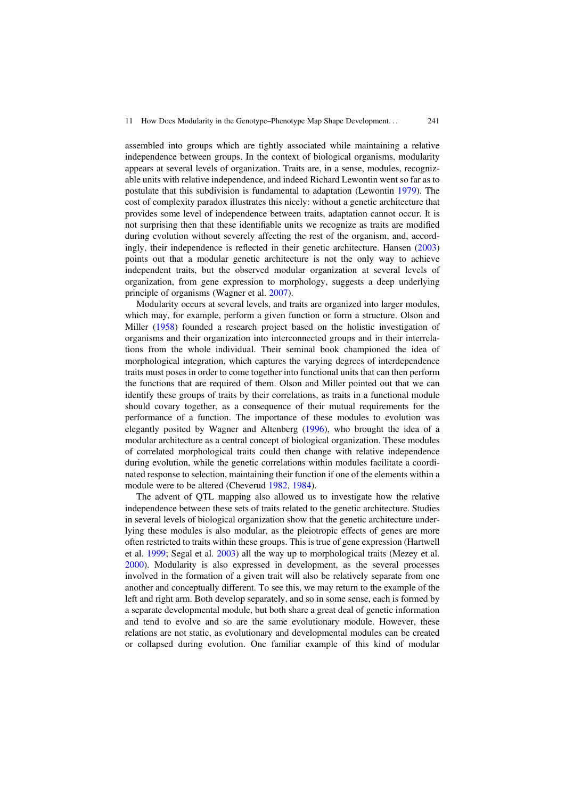assembled into groups which are tightly associated while maintaining a relative independence between groups. In the context of biological organisms, modularity appears at several levels of organization. Traits are, in a sense, modules, recognizable units with relative independence, and indeed Richard Lewontin went so far as to postulate that this subdivision is fundamental to adaptation (Lewontin 1979). The cost of complexity paradox illustrates this nicely: without a genetic architecture that provides some level of independence between traits, adaptation cannot occur. It is not surprising then that these identifiable units we recognize as traits are modified during evolution without severely affecting the rest of the organism, and, accordingly, their independence is reflected in their genetic architecture. Hansen (2003) points out that a modular genetic architecture is not the only way to achieve independent traits, but the observed modular organization at several levels of organization, from gene expression to morphology, suggests a deep underlying principle of organisms (Wagner et al. 2007).

Modularity occurs at several levels, and traits are organized into larger modules, which may, for example, perform a given function or form a structure. Olson and Miller (1958) founded a research project based on the holistic investigation of organisms and their organization into interconnected groups and in their interrelations from the whole individual. Their seminal book championed the idea of morphological integration, which captures the varying degrees of interdependence traits must poses in order to come together into functional units that can then perform the functions that are required of them. Olson and Miller pointed out that we can identify these groups of traits by their correlations, as traits in a functional module should covary together, as a consequence of their mutual requirements for the performance of a function. The importance of these modules to evolution was elegantly posited by Wagner and Altenberg (1996), who brought the idea of a modular architecture as a central concept of biological organization. These modules of correlated morphological traits could then change with relative independence during evolution, while the genetic correlations within modules facilitate a coordinated response to selection, maintaining their function if one of the elements within a module were to be altered (Cheverud 1982, 1984).

The advent of QTL mapping also allowed us to investigate how the relative independence between these sets of traits related to the genetic architecture. Studies in several levels of biological organization show that the genetic architecture underlying these modules is also modular, as the pleiotropic effects of genes are more often restricted to traits within these groups. This is true of gene expression (Hartwell et al. 1999; Segal et al. 2003) all the way up to morphological traits (Mezey et al. 2000). Modularity is also expressed in development, as the several processes involved in the formation of a given trait will also be relatively separate from one another and conceptually different. To see this, we may return to the example of the left and right arm. Both develop separately, and so in some sense, each is formed by a separate developmental module, but both share a great deal of genetic information and tend to evolve and so are the same evolutionary module. However, these relations are not static, as evolutionary and developmental modules can be created or collapsed during evolution. One familiar example of this kind of modular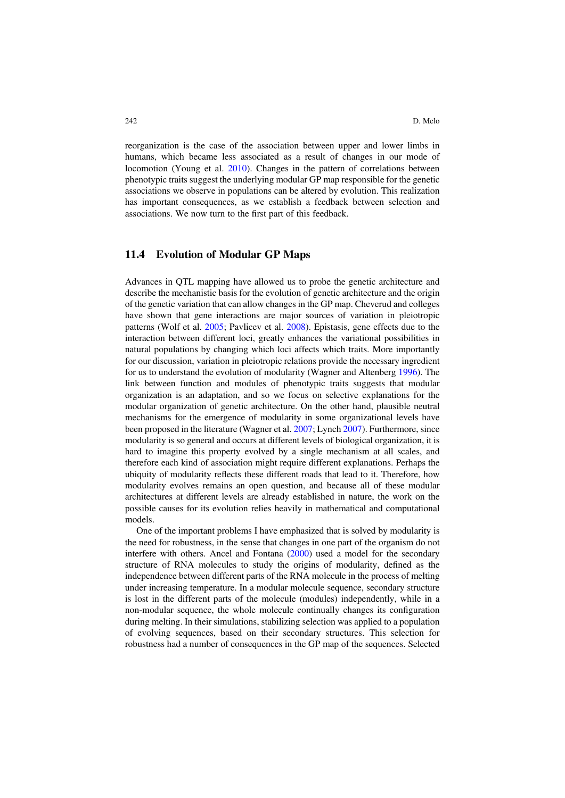reorganization is the case of the association between upper and lower limbs in humans, which became less associated as a result of changes in our mode of locomotion (Young et al. 2010). Changes in the pattern of correlations between phenotypic traits suggest the underlying modular GP map responsible for the genetic associations we observe in populations can be altered by evolution. This realization has important consequences, as we establish a feedback between selection and associations. We now turn to the first part of this feedback.

#### 11.4 Evolution of Modular GP Maps

Advances in QTL mapping have allowed us to probe the genetic architecture and describe the mechanistic basis for the evolution of genetic architecture and the origin of the genetic variation that can allow changes in the GP map. Cheverud and colleges have shown that gene interactions are major sources of variation in pleiotropic patterns (Wolf et al. 2005; Pavlicev et al. 2008). Epistasis, gene effects due to the interaction between different loci, greatly enhances the variational possibilities in natural populations by changing which loci affects which traits. More importantly for our discussion, variation in pleiotropic relations provide the necessary ingredient for us to understand the evolution of modularity (Wagner and Altenberg 1996). The link between function and modules of phenotypic traits suggests that modular organization is an adaptation, and so we focus on selective explanations for the modular organization of genetic architecture. On the other hand, plausible neutral mechanisms for the emergence of modularity in some organizational levels have been proposed in the literature (Wagner et al. 2007; Lynch 2007). Furthermore, since modularity is so general and occurs at different levels of biological organization, it is hard to imagine this property evolved by a single mechanism at all scales, and therefore each kind of association might require different explanations. Perhaps the ubiquity of modularity reflects these different roads that lead to it. Therefore, how modularity evolves remains an open question, and because all of these modular architectures at different levels are already established in nature, the work on the possible causes for its evolution relies heavily in mathematical and computational models.

One of the important problems I have emphasized that is solved by modularity is the need for robustness, in the sense that changes in one part of the organism do not interfere with others. Ancel and Fontana (2000) used a model for the secondary structure of RNA molecules to study the origins of modularity, defined as the independence between different parts of the RNA molecule in the process of melting under increasing temperature. In a modular molecule sequence, secondary structure is lost in the different parts of the molecule (modules) independently, while in a non-modular sequence, the whole molecule continually changes its configuration during melting. In their simulations, stabilizing selection was applied to a population of evolving sequences, based on their secondary structures. This selection for robustness had a number of consequences in the GP map of the sequences. Selected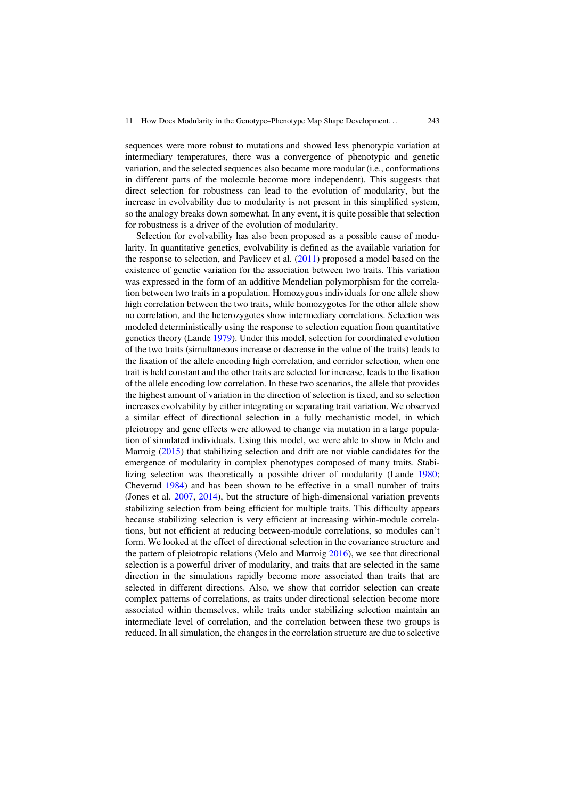sequences were more robust to mutations and showed less phenotypic variation at intermediary temperatures, there was a convergence of phenotypic and genetic variation, and the selected sequences also became more modular (i.e., conformations in different parts of the molecule become more independent). This suggests that direct selection for robustness can lead to the evolution of modularity, but the increase in evolvability due to modularity is not present in this simplified system, so the analogy breaks down somewhat. In any event, it is quite possible that selection for robustness is a driver of the evolution of modularity.

Selection for evolvability has also been proposed as a possible cause of modularity. In quantitative genetics, evolvability is defined as the available variation for the response to selection, and Pavlicev et al. (2011) proposed a model based on the existence of genetic variation for the association between two traits. This variation was expressed in the form of an additive Mendelian polymorphism for the correlation between two traits in a population. Homozygous individuals for one allele show high correlation between the two traits, while homozygotes for the other allele show no correlation, and the heterozygotes show intermediary correlations. Selection was modeled deterministically using the response to selection equation from quantitative genetics theory (Lande 1979). Under this model, selection for coordinated evolution of the two traits (simultaneous increase or decrease in the value of the traits) leads to the fixation of the allele encoding high correlation, and corridor selection, when one trait is held constant and the other traits are selected for increase, leads to the fixation of the allele encoding low correlation. In these two scenarios, the allele that provides the highest amount of variation in the direction of selection is fixed, and so selection increases evolvability by either integrating or separating trait variation. We observed a similar effect of directional selection in a fully mechanistic model, in which pleiotropy and gene effects were allowed to change via mutation in a large population of simulated individuals. Using this model, we were able to show in Melo and Marroig (2015) that stabilizing selection and drift are not viable candidates for the emergence of modularity in complex phenotypes composed of many traits. Stabilizing selection was theoretically a possible driver of modularity (Lande 1980; Cheverud 1984) and has been shown to be effective in a small number of traits (Jones et al. 2007, 2014), but the structure of high-dimensional variation prevents stabilizing selection from being efficient for multiple traits. This difficulty appears because stabilizing selection is very efficient at increasing within-module correlations, but not efficient at reducing between-module correlations, so modules can't form. We looked at the effect of directional selection in the covariance structure and the pattern of pleiotropic relations (Melo and Marroig 2016), we see that directional selection is a powerful driver of modularity, and traits that are selected in the same direction in the simulations rapidly become more associated than traits that are selected in different directions. Also, we show that corridor selection can create complex patterns of correlations, as traits under directional selection become more associated within themselves, while traits under stabilizing selection maintain an intermediate level of correlation, and the correlation between these two groups is reduced. In all simulation, the changes in the correlation structure are due to selective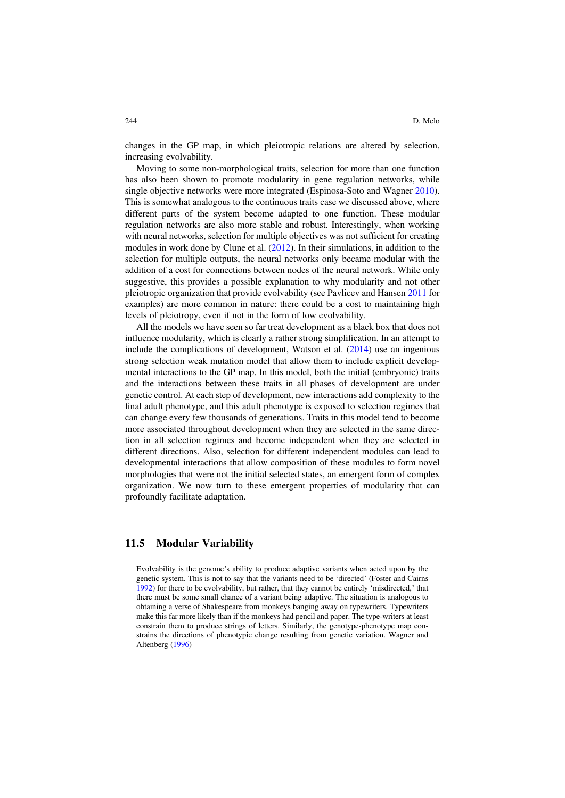changes in the GP map, in which pleiotropic relations are altered by selection, increasing evolvability.

Moving to some non-morphological traits, selection for more than one function has also been shown to promote modularity in gene regulation networks, while single objective networks were more integrated (Espinosa-Soto and Wagner 2010). This is somewhat analogous to the continuous traits case we discussed above, where different parts of the system become adapted to one function. These modular regulation networks are also more stable and robust. Interestingly, when working with neural networks, selection for multiple objectives was not sufficient for creating modules in work done by Clune et al. (2012). In their simulations, in addition to the selection for multiple outputs, the neural networks only became modular with the addition of a cost for connections between nodes of the neural network. While only suggestive, this provides a possible explanation to why modularity and not other pleiotropic organization that provide evolvability (see Pavlicev and Hansen 2011 for examples) are more common in nature: there could be a cost to maintaining high levels of pleiotropy, even if not in the form of low evolvability.

All the models we have seen so far treat development as a black box that does not influence modularity, which is clearly a rather strong simplification. In an attempt to include the complications of development, Watson et al. (2014) use an ingenious strong selection weak mutation model that allow them to include explicit developmental interactions to the GP map. In this model, both the initial (embryonic) traits and the interactions between these traits in all phases of development are under genetic control. At each step of development, new interactions add complexity to the final adult phenotype, and this adult phenotype is exposed to selection regimes that can change every few thousands of generations. Traits in this model tend to become more associated throughout development when they are selected in the same direction in all selection regimes and become independent when they are selected in different directions. Also, selection for different independent modules can lead to developmental interactions that allow composition of these modules to form novel morphologies that were not the initial selected states, an emergent form of complex organization. We now turn to these emergent properties of modularity that can profoundly facilitate adaptation.

## 11.5 Modular Variability

Evolvability is the genome's ability to produce adaptive variants when acted upon by the genetic system. This is not to say that the variants need to be 'directed' (Foster and Cairns 1992) for there to be evolvability, but rather, that they cannot be entirely 'misdirected,' that there must be some small chance of a variant being adaptive. The situation is analogous to obtaining a verse of Shakespeare from monkeys banging away on typewriters. Typewriters make this far more likely than if the monkeys had pencil and paper. The type-writers at least constrain them to produce strings of letters. Similarly, the genotype-phenotype map constrains the directions of phenotypic change resulting from genetic variation. Wagner and Altenberg (1996)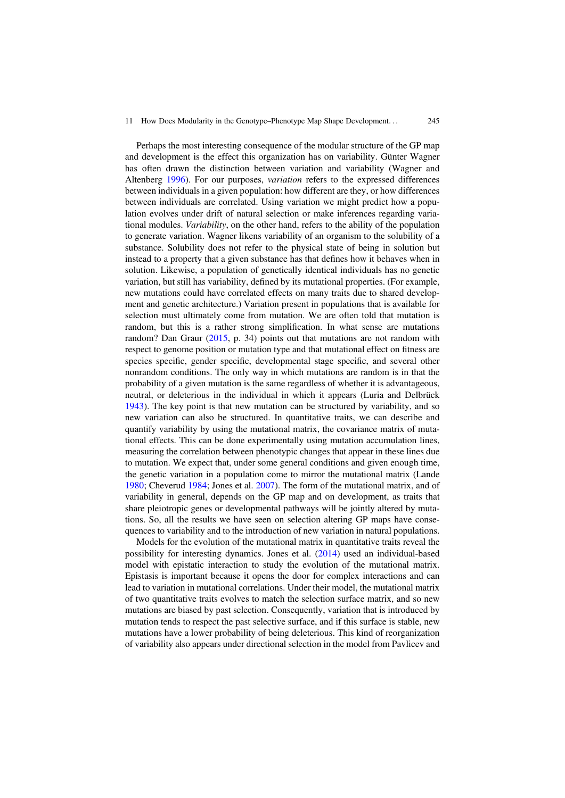#### 11 How Does Modularity in the Genotype–Phenotype Map Shape Development. . . 245

Perhaps the most interesting consequence of the modular structure of the GP map and development is the effect this organization has on variability. Günter Wagner has often drawn the distinction between variation and variability (Wagner and Altenberg 1996). For our purposes, variation refers to the expressed differences between individuals in a given population: how different are they, or how differences between individuals are correlated. Using variation we might predict how a population evolves under drift of natural selection or make inferences regarding variational modules. Variability, on the other hand, refers to the ability of the population to generate variation. Wagner likens variability of an organism to the solubility of a substance. Solubility does not refer to the physical state of being in solution but instead to a property that a given substance has that defines how it behaves when in solution. Likewise, a population of genetically identical individuals has no genetic variation, but still has variability, defined by its mutational properties. (For example, new mutations could have correlated effects on many traits due to shared development and genetic architecture.) Variation present in populations that is available for selection must ultimately come from mutation. We are often told that mutation is random, but this is a rather strong simplification. In what sense are mutations random? Dan Graur (2015, p. 34) points out that mutations are not random with respect to genome position or mutation type and that mutational effect on fitness are species specific, gender specific, developmental stage specific, and several other nonrandom conditions. The only way in which mutations are random is in that the probability of a given mutation is the same regardless of whether it is advantageous, neutral, or deleterious in the individual in which it appears (Luria and Delbrück 1943). The key point is that new mutation can be structured by variability, and so new variation can also be structured. In quantitative traits, we can describe and quantify variability by using the mutational matrix, the covariance matrix of mutational effects. This can be done experimentally using mutation accumulation lines, measuring the correlation between phenotypic changes that appear in these lines due to mutation. We expect that, under some general conditions and given enough time, the genetic variation in a population come to mirror the mutational matrix (Lande 1980; Cheverud 1984; Jones et al. 2007). The form of the mutational matrix, and of variability in general, depends on the GP map and on development, as traits that share pleiotropic genes or developmental pathways will be jointly altered by mutations. So, all the results we have seen on selection altering GP maps have consequences to variability and to the introduction of new variation in natural populations.

Models for the evolution of the mutational matrix in quantitative traits reveal the possibility for interesting dynamics. Jones et al. (2014) used an individual-based model with epistatic interaction to study the evolution of the mutational matrix. Epistasis is important because it opens the door for complex interactions and can lead to variation in mutational correlations. Under their model, the mutational matrix of two quantitative traits evolves to match the selection surface matrix, and so new mutations are biased by past selection. Consequently, variation that is introduced by mutation tends to respect the past selective surface, and if this surface is stable, new mutations have a lower probability of being deleterious. This kind of reorganization of variability also appears under directional selection in the model from Pavlicev and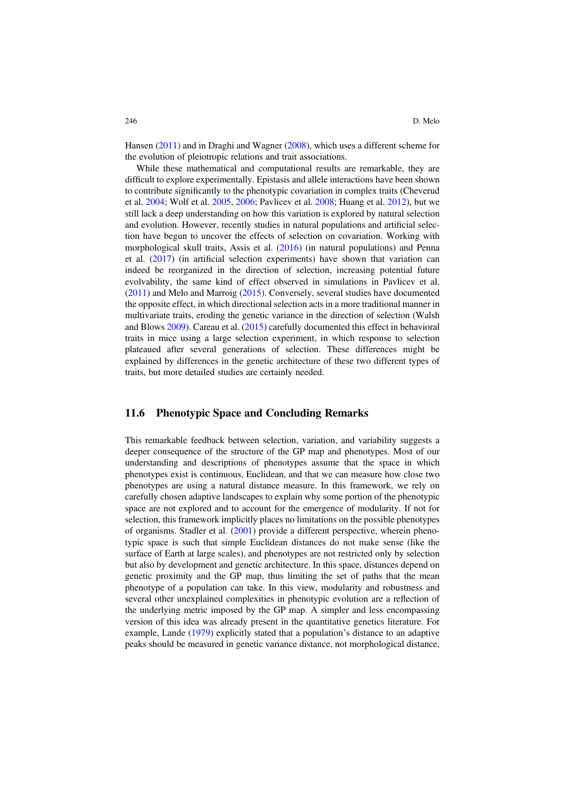Hansen (2011) and in Draghi and Wagner (2008), which uses a different scheme for the evolution of pleiotropic relations and trait associations.

While these mathematical and computational results are remarkable, they are difficult to explore experimentally. Epistasis and allele interactions have been shown to contribute significantly to the phenotypic covariation in complex traits (Cheverud et al. 2004; Wolf et al. 2005, 2006; Pavlicev et al. 2008; Huang et al. 2012), but we still lack a deep understanding on how this variation is explored by natural selection and evolution. However, recently studies in natural populations and artificial selection have begun to uncover the effects of selection on covariation. Working with morphological skull traits, Assis et al. (2016) (in natural populations) and Penna et al. (2017) (in artificial selection experiments) have shown that variation can indeed be reorganized in the direction of selection, increasing potential future evolvability, the same kind of effect observed in simulations in Pavlicev et al. (2011) and Melo and Marroig (2015). Conversely, several studies have documented the opposite effect, in which directional selection acts in a more traditional manner in multivariate traits, eroding the genetic variance in the direction of selection (Walsh and Blows 2009). Careau et al. (2015) carefully documented this effect in behavioral traits in mice using a large selection experiment, in which response to selection plateaued after several generations of selection. These differences might be explained by differences in the genetic architecture of these two different types of traits, but more detailed studies are certainly needed.

# 11.6 Phenotypic Space and Concluding Remarks

This remarkable feedback between selection, variation, and variability suggests a deeper consequence of the structure of the GP map and phenotypes. Most of our understanding and descriptions of phenotypes assume that the space in which phenotypes exist is continuous, Euclidean, and that we can measure how close two phenotypes are using a natural distance measure. In this framework, we rely on carefully chosen adaptive landscapes to explain why some portion of the phenotypic space are not explored and to account for the emergence of modularity. If not for selection, this framework implicitly places no limitations on the possible phenotypes of organisms. Stadler et al. (2001) provide a different perspective, wherein phenotypic space is such that simple Euclidean distances do not make sense (like the surface of Earth at large scales), and phenotypes are not restricted only by selection but also by development and genetic architecture. In this space, distances depend on genetic proximity and the GP map, thus limiting the set of paths that the mean phenotype of a population can take. In this view, modularity and robustness and several other unexplained complexities in phenotypic evolution are a reflection of the underlying metric imposed by the GP map. A simpler and less encompassing version of this idea was already present in the quantitative genetics literature. For example, Lande (1979) explicitly stated that a population's distance to an adaptive peaks should be measured in genetic variance distance, not morphological distance,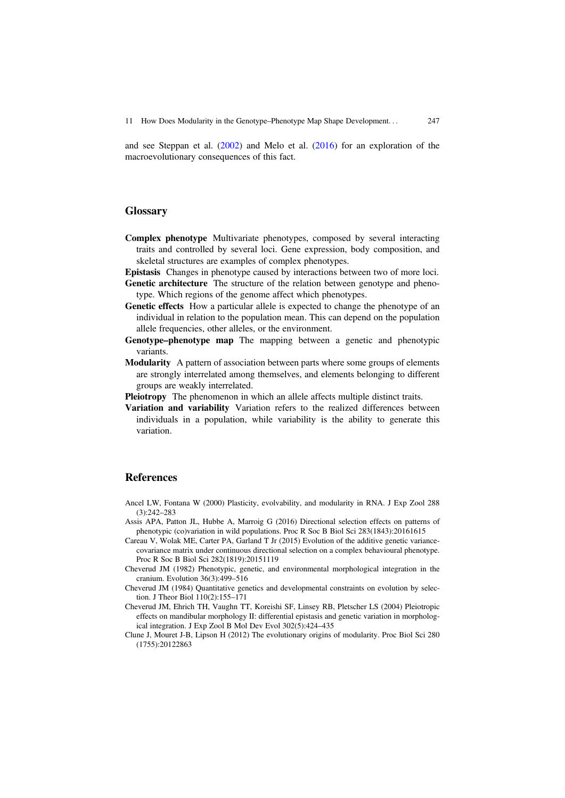and see Steppan et al. (2002) and Melo et al. (2016) for an exploration of the macroevolutionary consequences of this fact.

#### **Glossary**

- Complex phenotype Multivariate phenotypes, composed by several interacting traits and controlled by several loci. Gene expression, body composition, and skeletal structures are examples of complex phenotypes.
- Epistasis Changes in phenotype caused by interactions between two of more loci.
- Genetic architecture The structure of the relation between genotype and phenotype. Which regions of the genome affect which phenotypes.
- Genetic effects How a particular allele is expected to change the phenotype of an individual in relation to the population mean. This can depend on the population allele frequencies, other alleles, or the environment.
- Genotype–phenotype map The mapping between a genetic and phenotypic variants.
- Modularity A pattern of association between parts where some groups of elements are strongly interrelated among themselves, and elements belonging to different groups are weakly interrelated.
- Pleiotropy The phenomenon in which an allele affects multiple distinct traits.
- Variation and variability Variation refers to the realized differences between individuals in a population, while variability is the ability to generate this variation.

#### References

- Ancel LW, Fontana W (2000) Plasticity, evolvability, and modularity in RNA. J Exp Zool 288 (3):242–283
- Assis APA, Patton JL, Hubbe A, Marroig G (2016) Directional selection effects on patterns of phenotypic (co)variation in wild populations. Proc R Soc B Biol Sci 283(1843):20161615
- Careau V, Wolak ME, Carter PA, Garland T Jr (2015) Evolution of the additive genetic variancecovariance matrix under continuous directional selection on a complex behavioural phenotype. Proc R Soc B Biol Sci 282(1819):20151119
- Cheverud JM (1982) Phenotypic, genetic, and environmental morphological integration in the cranium. Evolution 36(3):499–516
- Cheverud JM (1984) Quantitative genetics and developmental constraints on evolution by selection. J Theor Biol 110(2):155–171
- Cheverud JM, Ehrich TH, Vaughn TT, Koreishi SF, Linsey RB, Pletscher LS (2004) Pleiotropic effects on mandibular morphology II: differential epistasis and genetic variation in morphological integration. J Exp Zool B Mol Dev Evol 302(5):424–435
- Clune J, Mouret J-B, Lipson H (2012) The evolutionary origins of modularity. Proc Biol Sci 280 (1755):20122863